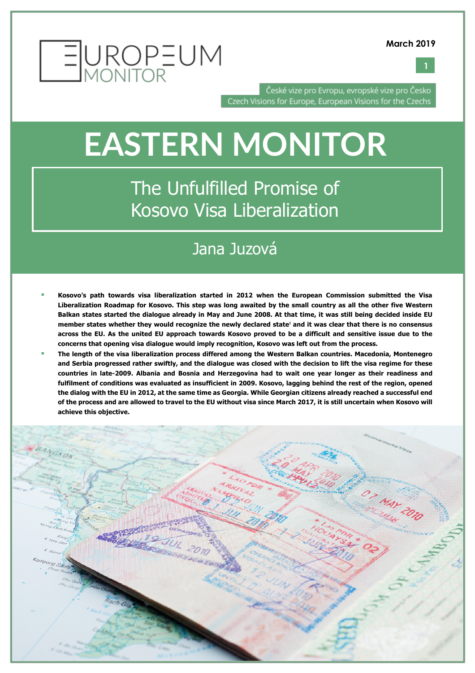

**1**



České vize pro Evropu, evropské vize pro Česko Czech Visions for Europe, European Visions for the Czechs

# **EASTERN MONITOR**

The Unfulfilled Promise of Kosovo Visa Liberalization

# Jana Juzová

- § **Kosovo's path towards visa liberalization started in 2012 when the European Commission submitted the Visa Liberalization Roadmap for Kosovo. This step was long awaited by the small country as all the other five Western Balkan states started the dialogue already in May and June 2008. At that time, it was still being decided inside EU member states whether they would recognize the newly declared state<sup>1</sup> and it was clear that there is no consensus across the EU. As the united EU approach towards Kosovo proved to be a difficult and sensitive issue due to the concerns that opening visa dialogue would imply recognition, Kosovo was left out from the process.**
- § **The length of the visa liberalization process differed among the Western Balkan countries. Macedonia, Montenegro and Serbia progressed rather swiftly, and the dialogue was closed with the decision to lift the visa regime for these countries in late-2009. Albania and Bosnia and Herzegovina had to wait one year longer as their readiness and fulfilment of conditions was evaluated as insufficient in 2009. Kosovo, lagging behind the rest of the region, opened the dialog with the EU in 2012, at the same time as Georgia. While Georgian citizens already reached a successful end of the process and are allowed to travel to the EU without visa since March 2017, it is still uncertain when Kosovo will achieve this objective.**

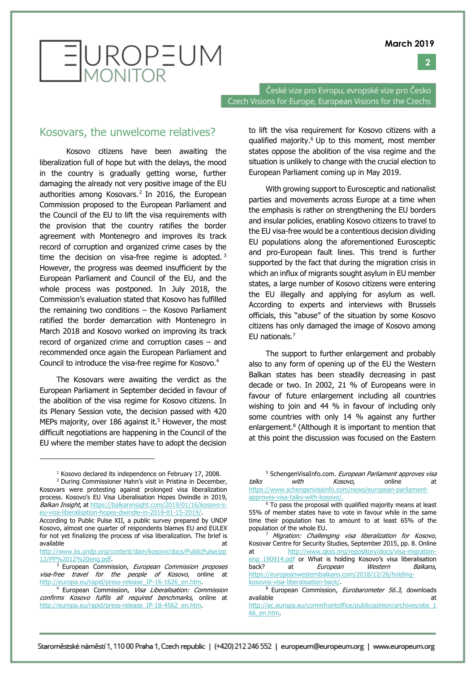**2**



České vize pro Evropu, evropské vize pro Česko Czech Visions for Europe, European Visions for the Czechs

### Kosovars, the unwelcome relatives?

Kosovo citizens have been awaiting the liberalization full of hope but with the delays, the mood in the country is gradually getting worse, further damaging the already not very positive image of the EU authorities among Kosovars. $2$  In 2016, the European Commission proposed to the European Parliament and the Council of the EU to lift the visa requirements with the provision that the country ratifies the border agreement with Montenegro and improves its track record of corruption and organized crime cases by the time the decision on visa-free regime is adopted.<sup>3</sup> However, the progress was deemed insufficient by the European Parliament and Council of the EU, and the whole process was postponed. In July 2018, the Commission's evaluation stated that Kosovo has fulfilled the remaining two conditions – the Kosovo Parliament ratified the border demarcation with Montenegro in March 2018 and Kosovo worked on improving its track record of organized crime and corruption cases – and recommended once again the European Parliament and Council to introduce the visa-free regime for Kosovo.4

The Kosovars were awaiting the verdict as the European Parliament in September decided in favour of the abolition of the visa regime for Kosovo citizens. In its Plenary Session vote, the decision passed with 420 MEPs majority, over 186 against it.<sup>5</sup> However, the most difficult negotiations are happening in the Council of the EU where the member states have to adopt the decision

<sup>1</sup> Kosovo declared its independence on February 17, 2008.

<sup>2</sup> During Commissioner Hahn's visit in Pristina in December, Kosovars were protesting against prolonged visa liberalization process. Kosovo's EU Visa Liberalisation Hopes Dwindle in 2019, Balkan Insight, at https://balkaninsight.com/2019/01/16/kosovo-seu-visa-liberalisation-hopes-dwindle-in-2019-01-15-2019/.

 $\overline{a}$ 

According to Public Pulse XII, a public survey prepared by UNDP Kosovo, almost one quarter of respondents blames EU and EULEX for not yet finalizing the process of visa liberalization. The brief is available at a structure at a structure at a structure at a structure at a structure at a structure at a structure at a structure at a structure at a structure at a structure at a structure at a structure at a structure at

http://www.ks.undp.org/content/dam/kosovo/docs/PublicPulse/pp 12/PP%2012%20eng.pdf.

to lift the visa requirement for Kosovo citizens with a qualified majority.<sup>6</sup> Up to this moment, most member states oppose the abolition of the visa regime and the situation is unlikely to change with the crucial election to European Parliament coming up in May 2019.

With growing support to Eurosceptic and nationalist parties and movements across Europe at a time when the emphasis is rather on strengthening the EU borders and insular policies, enabling Kosovo citizens to travel to the EU visa-free would be a contentious decision dividing EU populations along the aforementioned Eurosceptic and pro-European fault lines. This trend is further supported by the fact that during the migration crisis in which an influx of migrants sought asylum in EU member states, a large number of Kosovo citizens were entering the EU illegally and applying for asylum as well. According to experts and interviews with Brussels officials, this "abuse" of the situation by some Kosovo citizens has only damaged the image of Kosovo among EU nationals.7

The support to further enlargement and probably also to any form of opening up of the EU the Western Balkan states has been steadily decreasing in past decade or two. In 2002, 21 % of Europeans were in favour of future enlargement including all countries wishing to join and 44 % in favour of including only some countries with only 14 % against any further enlargement.<sup>8</sup> (Although it is important to mention that at this point the discussion was focused on the Eastern

<sup>7</sup> Migration: Challenging visa liberalization for Kosovo, Kosovar Centre for Security Studies, September 2015, pp. 8. Online at http://www.qkss.org/repository/docs/visa-migrationeng\_190914.pdf or What is holding Kosovo's visa liberalisation back? at European Western Balkans, https://europeanwesternbalkans.com/2018/12/26/holdingkosovos-visa-liberalisation-back/.

<sup>8</sup> European Commission, Eurobarometer 56.3, downloads available at a structure at a structure at a structure at a structure at a structure at a structure at a structure at a structure at a structure at a structure at a structure at a structure at a structure at a structure at http://ec.europa.eu/commfrontoffice/publicopinion/archives/ebs\_1 66\_en.htm.

<sup>&</sup>lt;sup>3</sup> European Commission, European Commission proposes visa-free travel for the people of Kosovo, online at http://europa.eu/rapid/press-release\_IP-16-1626\_en.htm.

<sup>4</sup> European Commission, Visa Liberalisation: Commission confirms Kosovo fulfils all required benchmarks, online at http://europa.eu/rapid/press-release\_IP-18-4562\_en.htm.

<sup>&</sup>lt;sup>5</sup> SchengenVisaInfo.com. European Parliament approves visa talks with Kosovo, online at https://www.schengenvisainfo.com/news/european-parliamentapproves-visa-talks-with-kosovo/.

 $6$  To pass the proposal with qualified majority means at least 55% of member states have to vote in favour while in the same time their population has to amount to at least 65% of the population of the whole EU.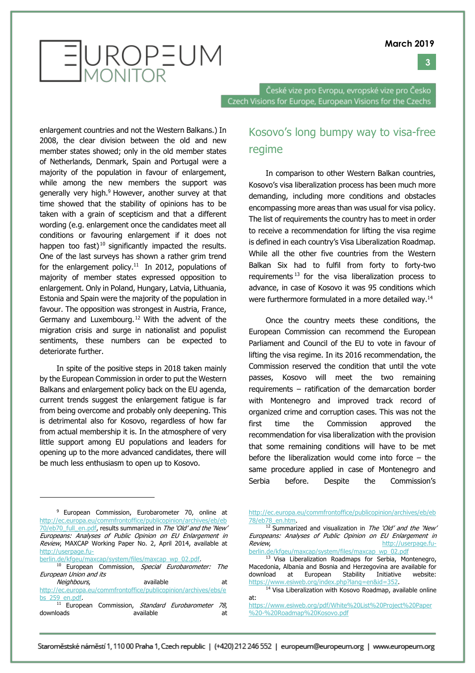#### **3**



České vize pro Evropu, evropské vize pro Česko Czech Visions for Europe, European Visions for the Czechs

enlargement countries and not the Western Balkans.) In 2008, the clear division between the old and new member states showed; only in the old member states of Netherlands, Denmark, Spain and Portugal were a majority of the population in favour of enlargement, while among the new members the support was generally very high.<sup>9</sup> However, another survey at that time showed that the stability of opinions has to be taken with a grain of scepticism and that a different wording (e.g. enlargement once the candidates meet all conditions or favouring enlargement if it does not happen too fast)<sup>10</sup> significantly impacted the results. One of the last surveys has shown a rather grim trend for the enlargement policy.<sup>11</sup> In 2012, populations of majority of member states expressed opposition to enlargement. Only in Poland, Hungary, Latvia, Lithuania, Estonia and Spain were the majority of the population in favour. The opposition was strongest in Austria, France, Germany and Luxembourg.12 With the advent of the migration crisis and surge in nationalist and populist sentiments, these numbers can be expected to deteriorate further.

In spite of the positive steps in 2018 taken mainly by the European Commission in order to put the Western Balkans and enlargement policy back on the EU agenda, current trends suggest the enlargement fatigue is far from being overcome and probably only deepening. This is detrimental also for Kosovo, regardless of how far from actual membership it is. In the atmosphere of very little support among EU populations and leaders for opening up to the more advanced candidates, there will be much less enthusiasm to open up to Kosovo.

berlin.de/kfgeu/maxcap/system/files/maxcap\_wp\_02.pdf.

downloads available at

Kosovo's long bumpy way to visa-free regime

In comparison to other Western Balkan countries, Kosovo's visa liberalization process has been much more demanding, including more conditions and obstacles encompassing more areas than was usual for visa policy. The list of requirements the country has to meet in order to receive a recommendation for lifting the visa regime is defined in each country's Visa Liberalization Roadmap. While all the other five countries from the Western Balkan Six had to fulfil from forty to forty-two requirements  $13$  for the visa liberalization process to advance, in case of Kosovo it was 95 conditions which were furthermore formulated in a more detailed way.14

Once the country meets these conditions, the European Commission can recommend the European Parliament and Council of the EU to vote in favour of lifting the visa regime. In its 2016 recommendation, the Commission reserved the condition that until the vote passes, Kosovo will meet the two remaining requirements – ratification of the demarcation border with Montenegro and improved track record of organized crime and corruption cases. This was not the first time the Commission approved the recommendation for visa liberalization with the provision that some remaining conditions will have to be met before the liberalization would come into force – the same procedure applied in case of Montenegro and Serbia before. Despite the Commission's

https://www.esiweb.org/index.php?lang=en&id=352.<br><sup>14</sup> Visa Liberalization with Kosovo Roadmap, available online at:

<sup>&</sup>lt;sup>9</sup> European Commission, Eurobarometer 70, online at http://ec.europa.eu/commfrontoffice/publicopinion/archives/eb/eb 70/eb70\_full\_en.pdf, results summarized in The 'Old' and the 'New' Europeans: Analyses of Public Opinion on EU Enlargement in Review, MAXCAP Working Paper No. 2, April 2014, available at http://userpage.fu-

<sup>&</sup>lt;sup>10</sup> European Commission, Special Eurobarometer: The European Union and its Neighbours, and available at at

http://ec.europa.eu/commfrontoffice/publicopinion/archives/ebs/e bs\_259\_en.pdf.  $11$  European Commission, Standard Eurobarometer 78,

http://ec.europa.eu/commfrontoffice/publicopinion/archives/eb/eb 78/eb78\_en.htm.

 $12$  Summarized and visualization in The 'Old' and the 'New' Europeans: Analyses of Public Opinion on EU Enlargement in Review, and the contract of the contract of the http://userpage.fuberlin.de/kfgeu/maxcap/system/files/maxcap\_wp\_02.pdf

<sup>&</sup>lt;sup>13</sup> Visa Liberalization Roadmaps for Serbia, Montenegro, Macedonia, Albania and Bosnia and Herzegovina are available for download at European Stability Initiative website:

https://www.esiweb.org/pdf/White%20List%20Project%20Paper %20-%20Roadmap%20Kosovo.pdf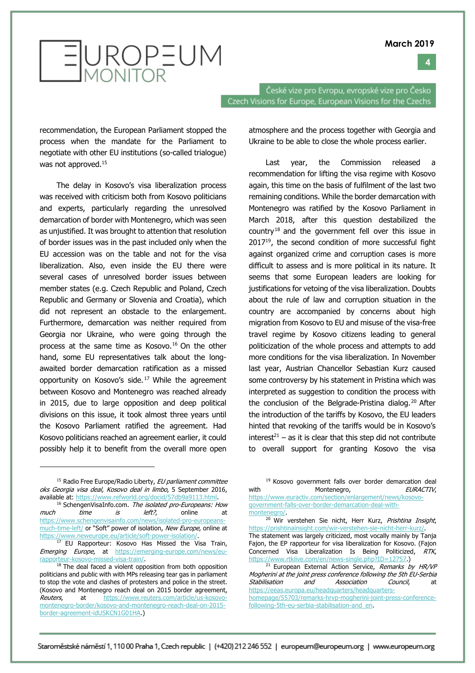

EUROPEUM

České vize pro Evropu, evropské vize pro Česko Czech Visions for Europe, European Visions for the Czechs

recommendation, the European Parliament stopped the process when the mandate for the Parliament to negotiate with other EU institutions (so-called trialogue) was not approved.<sup>15</sup>

The delay in Kosovo's visa liberalization process was received with criticism both from Kosovo politicians and experts, particularly regarding the unresolved demarcation of border with Montenegro, which was seen as unjustified. It was brought to attention that resolution of border issues was in the past included only when the EU accession was on the table and not for the visa liberalization. Also, even inside the EU there were several cases of unresolved border issues between member states (e.g. Czech Republic and Poland, Czech Republic and Germany or Slovenia and Croatia), which did not represent an obstacle to the enlargement. Furthermore, demarcation was neither required from Georgia nor Ukraine, who were going through the process at the same time as Kosovo.<sup>16</sup> On the other hand, some EU representatives talk about the longawaited border demarcation ratification as a missed opportunity on Kosovo's side. <sup>17</sup> While the agreement between Kosovo and Montenegro was reached already in 2015, due to large opposition and deep political divisions on this issue, it took almost three years until the Kosovo Parliament ratified the agreement. Had Kosovo politicians reached an agreement earlier, it could possibly help it to benefit from the overall more open

<sup>15</sup> Radio Free Europe/Radio Liberty, EU parliament committee oks Georgia visa deal, Kosovo deal in limbo, 5 September 2016, available at: https://www.refworld.org/docid/57db9a9113.html.<br><sup>16</sup> SchengenVisaInfo.com. *The isolated pro-Europeans: How* 

much time is left?, online at https://www.schengenvisainfo.com/news/isolated-pro-europeansmuch-time-left/ or "Soft" power of isolation, New Europe, online at https://www.neweurope.eu/article/soft-power-isolation/.

<sup>17</sup> EU Rapporteur: Kosovo Has Missed the Visa Train, Emerging Europe, at https://emerging-europe.com/news/eurapporteur-kosovo-missed-visa-train/.

<sup>18</sup> The deal faced a violent opposition from both opposition politicians and public with with MPs releasing tear gas in parliament to stop the vote and clashes of protesters and police in the street. (Kosovo and Montenegro reach deal on 2015 border agreement, Reuters, at https://www.reuters.com/article/us-kosovomontenegro-border/kosovo-and-montenegro-reach-deal-on-2015 border-agreement-idUSKCN1G01HA.)

atmosphere and the process together with Georgia and Ukraine to be able to close the whole process earlier.

Last year, the Commission released a recommendation for lifting the visa regime with Kosovo again, this time on the basis of fulfilment of the last two remaining conditions. While the border demarcation with Montenegro was ratified by the Kosovo Parliament in March 2018, after this question destabilized the country <sup>18</sup> and the government fell over this issue in 2017<sup>19</sup>, the second condition of more successful fight against organized crime and corruption cases is more difficult to assess and is more political in its nature. It seems that some European leaders are looking for justifications for vetoing of the visa liberalization. Doubts about the rule of law and corruption situation in the country are accompanied by concerns about high migration from Kosovo to EU and misuse of the visa-free travel regime by Kosovo citizens leading to general politicization of the whole process and attempts to add more conditions for the visa liberalization. In November last year, Austrian Chancellor Sebastian Kurz caused some controversy by his statement in Pristina which was interpreted as suggestion to condition the process with the conclusion of the Belgrade-Pristina dialog.<sup>20</sup> After the introduction of the tariffs by Kosovo, the EU leaders hinted that revoking of the tariffs would be in Kosovo's  $interest<sup>21</sup> - as it is clear that this step did not contribute$ to overall support for granting Kosovo the visa

<sup>&</sup>lt;sup>19</sup> Kosovo government falls over border demarcation deal with Montenegro, EURACTIV, https://www.euractiv.com/section/enlargement/news/kosovogovernment-falls-over-border-demarcation-deal-with-

montenegro/.

<sup>&</sup>lt;sup>20</sup> Wir verstehen Sie nicht, Herr Kurz, Prishtina Insight, https://prishtinainsight.com/wir-verstehen-sie-nicht-herr-kurz/. The statement was largely criticized, most vocally mainly by Tanja Fajon, the EP rapporteur for visa liberalization for Kosovo. (Fajon Concerned Visa Liberalization Is Being Politicized, RTK,<br>https://www.rtklive.com/en/news-single.php?ID=12757.)

 $121$  European External Action Service, Remarks by HR/VP Mogherini at the joint press conference following the 5th EU-Serbia Stabilisation and Association Council, at https://eeas.europa.eu/headquarters/headquartershomepage/55703/remarks-hrvp-mogherini-joint-press-conferencefollowing-5th-eu-serbia-stabilisation-and\_en.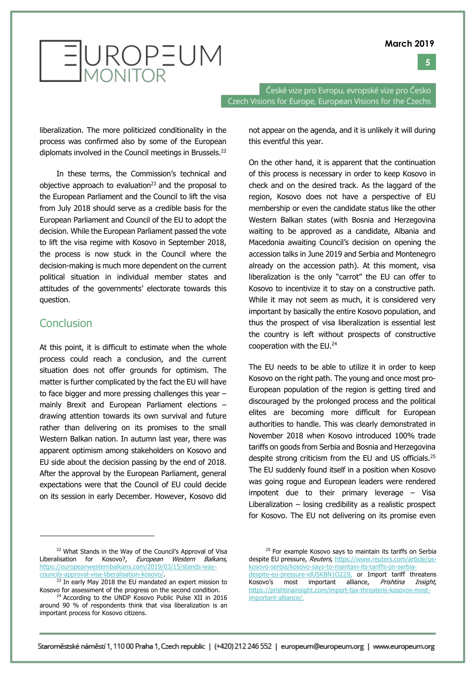



České vize pro Evropu, evropské vize pro Česko Czech Visions for Europe, European Visions for the Czechs

liberalization. The more politicized conditionality in the process was confirmed also by some of the European diplomats involved in the Council meetings in Brussels.22

In these terms, the Commission's technical and objective approach to evaluation<sup>23</sup> and the proposal to the European Parliament and the Council to lift the visa from July 2018 should serve as a credible basis for the European Parliament and Council of the EU to adopt the decision. While the European Parliament passed the vote to lift the visa regime with Kosovo in September 2018, the process is now stuck in the Council where the decision-making is much more dependent on the current political situation in individual member states and attitudes of the governments' electorate towards this question.

## **Conclusion**

 $\overline{a}$ 

At this point, it is difficult to estimate when the whole process could reach a conclusion, and the current situation does not offer grounds for optimism. The matter is further complicated by the fact the EU will have to face bigger and more pressing challenges this year – mainly Brexit and European Parliament elections – drawing attention towards its own survival and future rather than delivering on its promises to the small Western Balkan nation. In autumn last year, there was apparent optimism among stakeholders on Kosovo and EU side about the decision passing by the end of 2018. After the approval by the European Parliament, general expectations were that the Council of EU could decide on its session in early December. However, Kosovo did

not appear on the agenda, and it is unlikely it will during this eventful this year.

On the other hand, it is apparent that the continuation of this process is necessary in order to keep Kosovo in check and on the desired track. As the laggard of the region, Kosovo does not have a perspective of EU membership or even the candidate status like the other Western Balkan states (with Bosnia and Herzegovina waiting to be approved as a candidate, Albania and Macedonia awaiting Council's decision on opening the accession talks in June 2019 and Serbia and Montenegro already on the accession path). At this moment, visa liberalization is the only "carrot" the EU can offer to Kosovo to incentivize it to stay on a constructive path. While it may not seem as much, it is considered very important by basically the entire Kosovo population, and thus the prospect of visa liberalization is essential lest the country is left without prospects of constructive cooperation with the EU.24

The EU needs to be able to utilize it in order to keep Kosovo on the right path. The young and once most pro-European population of the region is getting tired and discouraged by the prolonged process and the political elites are becoming more difficult for European authorities to handle. This was clearly demonstrated in November 2018 when Kosovo introduced 100% trade tariffs on goods from Serbia and Bosnia and Herzegovina despite strong criticism from the EU and US officials.25 The EU suddenly found itself in a position when Kosovo was going rogue and European leaders were rendered impotent due to their primary leverage – Visa Liberalization  $-$  losing credibility as a realistic prospect for Kosovo. The EU not delivering on its promise even

<sup>25</sup> For example Kosovo says to maintain its tariffs on Serbia despite EU pressure, Reuters, https://www.reuters.com/article/uskosovo-serbia/kosovo-says-to-maintain-its-tariffs-on-serbiadespite-eu-pressure-idUSKBN1O22IL or Import tariff threatens Kosovo's most important alliance, Prishtina Insight, https://prishtinainsight.com/import-tax-threatens-kosovos-mostimportant-alliance/.

<sup>&</sup>lt;sup>22</sup> What Stands in the Way of the Council's Approval of Visa Liberalisation for Kosovo?, European Western Balkans, https://europeanwesternbalkans.com/2019/03/15/stands-waycouncils-approval-visa-liberalisation-kosovo/.

<sup>&</sup>lt;sup>23</sup> In early May 2018 the EU mandated an expert mission to Kosovo for assessment of the progress on the second condition.

<sup>&</sup>lt;sup>24</sup> According to the UNDP Kosovo Public Pulse XII in 2016 around 90 % of respondents think that visa liberalization is an important process for Kosovo citizens.